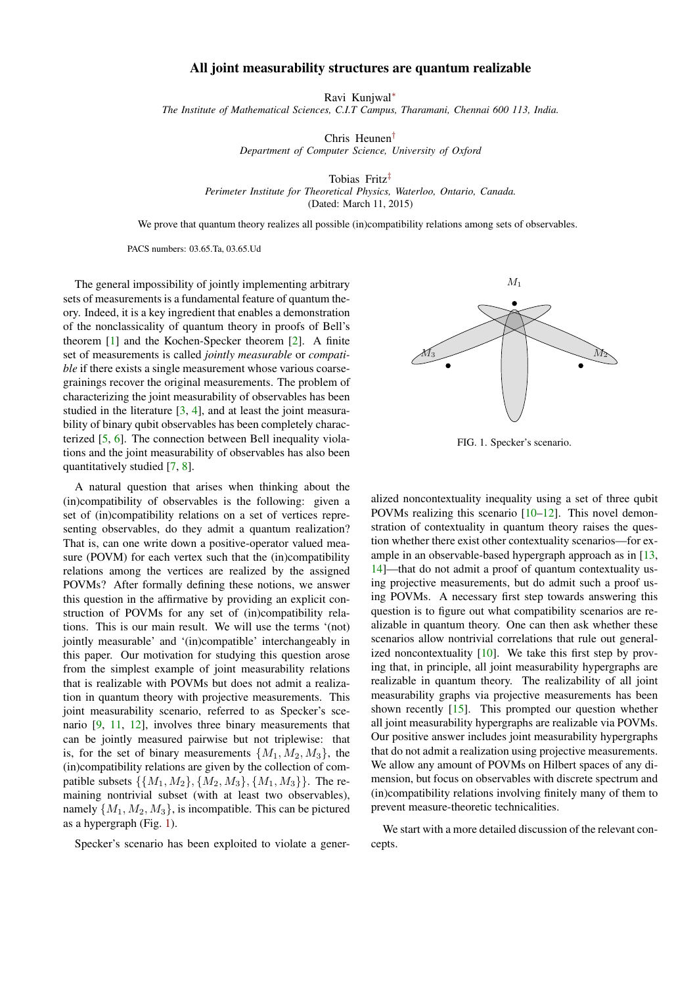## All joint measurability structures are quantum realizable

Ravi Kunjwal[∗](#page-4-0)

<span id="page-0-1"></span>*The Institute of Mathematical Sciences, C.I.T Campus, Tharamani, Chennai 600 113, India.*

Chris Heunen[†](#page-4-1)

*Department of Computer Science, University of Oxford*

Tobias Fritz[‡](#page-4-2) *Perimeter Institute for Theoretical Physics, Waterloo, Ontario, Canada.* (Dated: March 11, 2015)

We prove that quantum theory realizes all possible (in)compatibility relations among sets of observables.

PACS numbers: 03.65.Ta, 03.65.Ud

The general impossibility of jointly implementing arbitrary sets of measurements is a fundamental feature of quantum theory. Indeed, it is a key ingredient that enables a demonstration of the nonclassicality of quantum theory in proofs of Bell's theorem [\[1\]](#page-4-3) and the Kochen-Specker theorem [\[2\]](#page-4-4). A finite set of measurements is called *jointly measurable* or *compatible* if there exists a single measurement whose various coarsegrainings recover the original measurements. The problem of characterizing the joint measurability of observables has been studied in the literature [\[3,](#page-4-5) [4\]](#page-4-6), and at least the joint measurability of binary qubit observables has been completely characterized [\[5,](#page-4-7) [6\]](#page-4-8). The connection between Bell inequality violations and the joint measurability of observables has also been quantitatively studied [\[7,](#page-4-9) [8\]](#page-4-10).

A natural question that arises when thinking about the (in)compatibility of observables is the following: given a set of (in)compatibility relations on a set of vertices representing observables, do they admit a quantum realization? That is, can one write down a positive-operator valued measure (POVM) for each vertex such that the (in)compatibility relations among the vertices are realized by the assigned POVMs? After formally defining these notions, we answer this question in the affirmative by providing an explicit construction of POVMs for any set of (in)compatibility relations. This is our main result. We will use the terms '(not) jointly measurable' and '(in)compatible' interchangeably in this paper. Our motivation for studying this question arose from the simplest example of joint measurability relations that is realizable with POVMs but does not admit a realization in quantum theory with projective measurements. This joint measurability scenario, referred to as Specker's scenario [\[9,](#page-4-11) [11,](#page-4-12) [12\]](#page-4-13), involves three binary measurements that can be jointly measured pairwise but not triplewise: that is, for the set of binary measurements  $\{M_1, M_2, M_3\}$ , the (in)compatibility relations are given by the collection of compatible subsets  $\{\{M_1, M_2\}, \{M_2, M_3\}, \{M_1, M_3\}\}\$ . The remaining nontrivial subset (with at least two observables), namely  $\{M_1, M_2, M_3\}$ , is incompatible. This can be pictured as a hypergraph (Fig. [1\)](#page-0-0).

Specker's scenario has been exploited to violate a gener-



<span id="page-0-0"></span>FIG. 1. Specker's scenario.

alized noncontextuality inequality using a set of three qubit POVMs realizing this scenario [\[10–](#page-4-14)[12\]](#page-4-13). This novel demonstration of contextuality in quantum theory raises the question whether there exist other contextuality scenarios—for example in an observable-based hypergraph approach as in [\[13,](#page-4-15) [14\]](#page-4-16)—that do not admit a proof of quantum contextuality using projective measurements, but do admit such a proof using POVMs. A necessary first step towards answering this question is to figure out what compatibility scenarios are realizable in quantum theory. One can then ask whether these scenarios allow nontrivial correlations that rule out generalized noncontextuality  $[10]$ . We take this first step by proving that, in principle, all joint measurability hypergraphs are realizable in quantum theory. The realizability of all joint measurability graphs via projective measurements has been shown recently [\[15\]](#page-4-17). This prompted our question whether all joint measurability hypergraphs are realizable via POVMs. Our positive answer includes joint measurability hypergraphs that do not admit a realization using projective measurements. We allow any amount of POVMs on Hilbert spaces of any dimension, but focus on observables with discrete spectrum and (in)compatibility relations involving finitely many of them to prevent measure-theoretic technicalities.

We start with a more detailed discussion of the relevant concepts.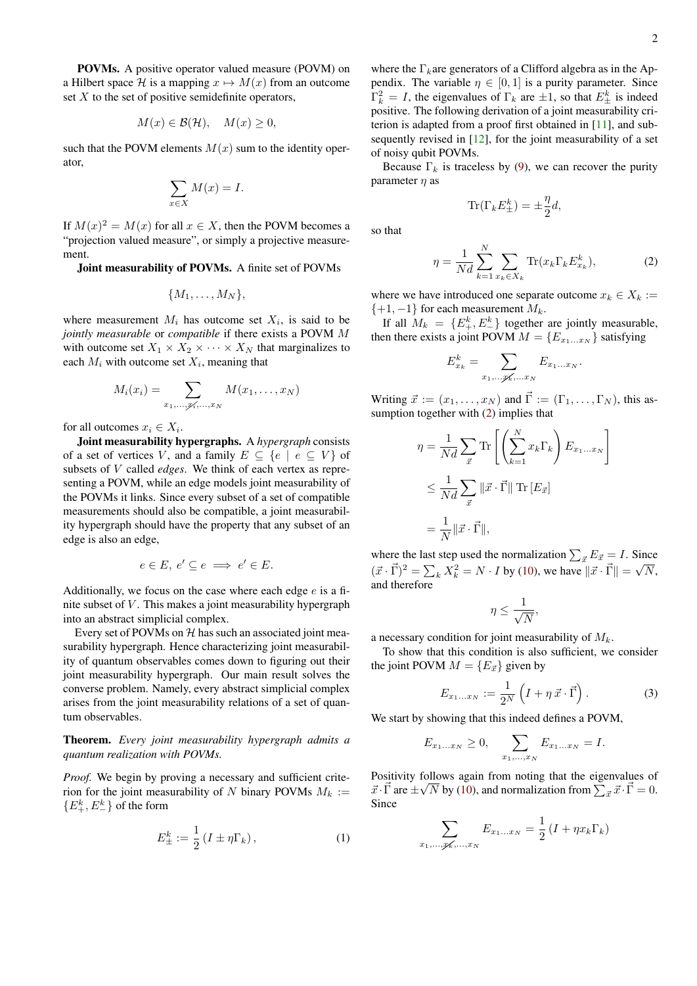<span id="page-1-2"></span>POVMs. A positive operator valued measure (POVM) on a Hilbert space H is a mapping  $x \mapsto M(x)$  from an outcome set  $X$  to the set of positive semidefinite operators,

$$
M(x) \in \mathcal{B}(\mathcal{H}), \quad M(x) \ge 0,
$$

such that the POVM elements  $M(x)$  sum to the identity operator,

$$
\sum_{x \in X} M(x) = I.
$$

If  $M(x)^2 = M(x)$  for all  $x \in X$ , then the POVM becomes a "projection valued measure", or simply a projective measurement.

Joint measurability of POVMs. A finite set of POVMs

$$
\{M_1,\ldots,M_N\},
$$

where measurement  $M_i$  has outcome set  $X_i$ , is said to be *jointly measurable* or *compatible* if there exists a POVM M with outcome set  $X_1 \times X_2 \times \cdots \times X_N$  that marginalizes to each  $M_i$  with outcome set  $X_i$ , meaning that

$$
M_i(x_i) = \sum_{x_1,\ldots,x_i,\ldots,x_N} M(x_1,\ldots,x_N)
$$

for all outcomes  $x_i \in X_i$ .

Joint measurability hypergraphs. A *hypergraph* consists of a set of vertices V, and a family  $E \subseteq \{e \mid e \subseteq V\}$  of subsets of V called *edges*. We think of each vertex as representing a POVM, while an edge models joint measurability of the POVMs it links. Since every subset of a set of compatible measurements should also be compatible, a joint measurability hypergraph should have the property that any subset of an edge is also an edge,

$$
e \in E, \, e' \subseteq e \implies e' \in E.
$$

Additionally, we focus on the case where each edge  $e$  is a finite subset of  $V$ . This makes a joint measurability hypergraph into an abstract simplicial complex.

Every set of POVMs on  $H$  has such an associated joint measurability hypergraph. Hence characterizing joint measurability of quantum observables comes down to figuring out their joint measurability hypergraph. Our main result solves the converse problem. Namely, every abstract simplicial complex arises from the joint measurability relations of a set of quantum observables.

Theorem. *Every joint measurability hypergraph admits a quantum realization with POVMs.*

*Proof.* We begin by proving a necessary and sufficient criterion for the joint measurability of N binary POVMs  $M_k :=$  $\{E_{+}^{k}, E_{-}^{k}\}\$  of the form

<span id="page-1-1"></span>
$$
E_{\pm}^{k} := \frac{1}{2} \left( I \pm \eta \Gamma_{k} \right), \tag{1}
$$

where the  $\Gamma_k$ are generators of a Clifford algebra as in the Appendix. The variable  $\eta \in [0, 1]$  is a purity parameter. Since  $\Gamma_k^2 = I$ , the eigenvalues of  $\Gamma_k$  are  $\pm 1$ , so that  $E_{\pm}^k$  is indeed positive. The following derivation of a joint measurability criterion is adapted from a proof first obtained in [\[11\]](#page-4-12), and subsequently revised in [\[12\]](#page-4-13), for the joint measurability of a set of noisy qubit POVMs.

Because  $\Gamma_k$  is traceless by [\(9\)](#page-3-0), we can recover the purity parameter  $\eta$  as

$$
\text{Tr}(\Gamma_k E_{\pm}^k) = \pm \frac{\eta}{2}d,
$$

so that

<span id="page-1-0"></span>
$$
\eta = \frac{1}{Nd} \sum_{k=1}^{N} \sum_{x_k \in X_k} \text{Tr}(x_k \Gamma_k E_{x_k}^k),\tag{2}
$$

where we have introduced one separate outcome  $x_k \in X_k :=$  $\{+1, -1\}$  for each measurement  $M_k$ .

If all  $M_k = \{E_+^k, E_-^k\}$  together are jointly measurable, then there exists a joint POVM  $M = \{E_{x_1...x_N}\}\$  satisfying

$$
E_{x_k}^k = \sum_{x_1,\ldots,x_k,\ldots,x_N} E_{x_1\ldots x_N}.
$$

Writing  $\vec{x} := (x_1, \ldots, x_N)$  and  $\vec{\Gamma} := (\Gamma_1, \ldots, \Gamma_N)$ , this assumption together with [\(2\)](#page-1-0) implies that

$$
\eta = \frac{1}{Nd} \sum_{\vec{x}} \text{Tr}\left[\left(\sum_{k=1}^{N} x_k \Gamma_k\right) E_{x_1...x_N}\right]
$$
  

$$
\leq \frac{1}{Nd} \sum_{\vec{x}} \|\vec{x} \cdot \vec{\Gamma}\| \text{Tr}[E_{\vec{x}}]
$$
  

$$
= \frac{1}{N} \|\vec{x} \cdot \vec{\Gamma}\|,
$$

where the last step used the normalization  $\sum_{\vec{x}} E_{\vec{x}} = I$ . Since  $({\vec x} \cdot {\vec \Gamma})^2 = \sum_k X_k^2 = N \cdot I$  by [\(10\)](#page-3-1), we have  $\|\vec x \cdot \vec \Gamma\| = \sqrt{N}$ , and therefore

$$
\eta \leq \frac{1}{\sqrt{N}},
$$

a necessary condition for joint measurability of  $M_k$ .

To show that this condition is also sufficient, we consider the joint POVM  $M = \{E_{\vec{x}}\}\$ given by

$$
E_{x_1...x_N} := \frac{1}{2^N} \left( I + \eta \, \vec{x} \cdot \vec{\Gamma} \right). \tag{3}
$$

We start by showing that this indeed defines a POVM,

$$
E_{x_1...x_N} \ge 0, \quad \sum_{x_1,...,x_N} E_{x_1...x_N} = I.
$$

Positivity follows again from noting that the eigenvalues of  $\vec{x} \cdot \vec{\Gamma}$  are  $\pm \sqrt{N}$  by [\(10\)](#page-3-1), and normalization from  $\sum_{\vec{x}} \vec{x} \cdot \vec{\Gamma} = 0$ . Since

$$
\sum_{x_1,\dots,x_k,\dots,x_N} E_{x_1\dots x_N} = \frac{1}{2} \left( I + \eta x_k \Gamma_k \right)
$$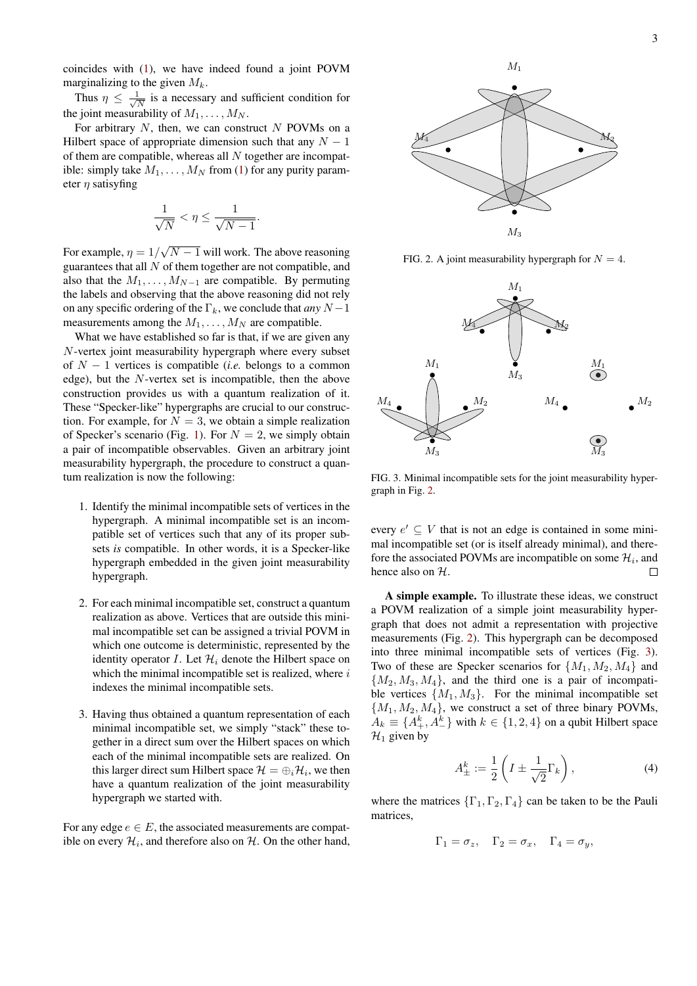coincides with [\(1\)](#page-1-1), we have indeed found a joint POVM marginalizing to the given  $M_k$ .

Thus  $\eta \leq \frac{1}{\sqrt{2}}$  $\frac{1}{\overline{N}}$  is a necessary and sufficient condition for the joint measurability of  $M_1, \ldots, M_N$ .

For arbitrary  $N$ , then, we can construct  $N$  POVMs on a Hilbert space of appropriate dimension such that any  $N - 1$ of them are compatible, whereas all  $N$  together are incompatible: simply take  $M_1, \ldots, M_N$  from [\(1\)](#page-1-1) for any purity parameter  $\eta$  satisyfing

$$
\frac{1}{\sqrt{N}} < \eta \le \frac{1}{\sqrt{N-1}}.
$$

For example,  $\eta = 1/$ √  $N - 1$  will work. The above reasoning guarantees that all  $N$  of them together are not compatible, and also that the  $M_1, \ldots, M_{N-1}$  are compatible. By permuting the labels and observing that the above reasoning did not rely on any specific ordering of the  $\Gamma_k$ , we conclude that *any*  $N-1$ measurements among the  $M_1, \ldots, M_N$  are compatible.

What we have established so far is that, if we are given any N-vertex joint measurability hypergraph where every subset of N − 1 vertices is compatible (*i.e.* belongs to a common edge), but the N-vertex set is incompatible, then the above construction provides us with a quantum realization of it. These "Specker-like" hypergraphs are crucial to our construction. For example, for  $N = 3$ , we obtain a simple realization of Specker's scenario (Fig. [1\)](#page-0-0). For  $N = 2$ , we simply obtain a pair of incompatible observables. Given an arbitrary joint measurability hypergraph, the procedure to construct a quantum realization is now the following:

- 1. Identify the minimal incompatible sets of vertices in the hypergraph. A minimal incompatible set is an incompatible set of vertices such that any of its proper subsets *is* compatible. In other words, it is a Specker-like hypergraph embedded in the given joint measurability hypergraph.
- 2. For each minimal incompatible set, construct a quantum realization as above. Vertices that are outside this minimal incompatible set can be assigned a trivial POVM in which one outcome is deterministic, represented by the identity operator I. Let  $\mathcal{H}_i$  denote the Hilbert space on which the minimal incompatible set is realized, where  $i$ indexes the minimal incompatible sets.
- 3. Having thus obtained a quantum representation of each minimal incompatible set, we simply "stack" these together in a direct sum over the Hilbert spaces on which each of the minimal incompatible sets are realized. On this larger direct sum Hilbert space  $\mathcal{H} = \bigoplus_i \mathcal{H}_i$ , we then have a quantum realization of the joint measurability hypergraph we started with.

For any edge  $e \in E$ , the associated measurements are compatible on every  $\mathcal{H}_i$ , and therefore also on  $\mathcal{H}$ . On the other hand,



<span id="page-2-0"></span>FIG. 2. A joint measurability hypergraph for  $N = 4$ .



<span id="page-2-1"></span>FIG. 3. Minimal incompatible sets for the joint measurability hypergraph in Fig. [2.](#page-2-0)

every  $e' \subseteq V$  that is not an edge is contained in some minimal incompatible set (or is itself already minimal), and therefore the associated POVMs are incompatible on some  $\mathcal{H}_i$ , and hence also on  $H$ .  $\Box$ 

A simple example. To illustrate these ideas, we construct a POVM realization of a simple joint measurability hypergraph that does not admit a representation with projective measurements (Fig. [2\)](#page-2-0). This hypergraph can be decomposed into three minimal incompatible sets of vertices (Fig. [3\)](#page-2-1). Two of these are Specker scenarios for  $\{M_1, M_2, M_4\}$  and  ${M_2, M_3, M_4}$ , and the third one is a pair of incompatible vertices  $\{M_1, M_3\}$ . For the minimal incompatible set  ${M_1, M_2, M_4}$ , we construct a set of three binary POVMs,  $A_k \equiv \{A_+^k, A_-^k\}$  with  $k \in \{1, 2, 4\}$  on a qubit Hilbert space  $\mathcal{H}_1$  given by

$$
A_{\pm}^{k} := \frac{1}{2} \left( I \pm \frac{1}{\sqrt{2}} \Gamma_{k} \right), \tag{4}
$$

where the matrices  $\{\Gamma_1, \Gamma_2, \Gamma_4\}$  can be taken to be the Pauli matrices,

$$
\Gamma_1 = \sigma_z, \quad \Gamma_2 = \sigma_x, \quad \Gamma_4 = \sigma_y,
$$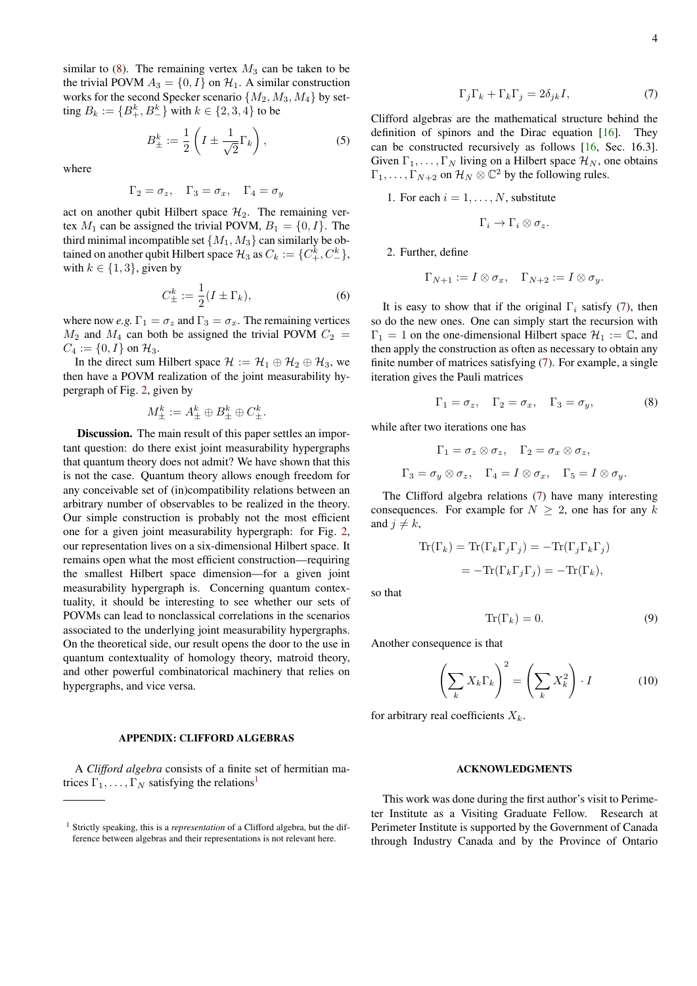<span id="page-3-5"></span>similar to  $(8)$ . The remaining vertex  $M_3$  can be taken to be the trivial POVM  $A_3 = \{0, I\}$  on  $\mathcal{H}_1$ . A similar construction works for the second Specker scenario  $\{M_2, M_3, M_4\}$  by setting  $B_k := \{B_+^k, B_-^k\}$  with  $k \in \{2, 3, 4\}$  to be

$$
B_{\pm}^{k} := \frac{1}{2} \left( I \pm \frac{1}{\sqrt{2}} \Gamma_{k} \right), \tag{5}
$$

where

$$
\Gamma_2 = \sigma_z, \quad \Gamma_3 = \sigma_x, \quad \Gamma_4 = \sigma_y
$$

act on another qubit Hilbert space  $\mathcal{H}_2$ . The remaining vertex  $M_1$  can be assigned the trivial POVM,  $B_1 = \{0, I\}$ . The third minimal incompatible set  $\{M_1, M_3\}$  can similarly be obtained on another qubit Hilbert space  $\mathcal{H}_3$  as  $C_k := \{C^k_+, C^k_-\},$ with  $k \in \{1, 3\}$ , given by

$$
C_{\pm}^k := \frac{1}{2}(I \pm \Gamma_k),\tag{6}
$$

where now *e.g.*  $\Gamma_1 = \sigma_z$  and  $\Gamma_3 = \sigma_x$ . The remaining vertices  $M_2$  and  $M_4$  can both be assigned the trivial POVM  $C_2$  =  $C_4 := \{0, I\}$  on  $\mathcal{H}_3$ .

In the direct sum Hilbert space  $\mathcal{H} := \mathcal{H}_1 \oplus \mathcal{H}_2 \oplus \mathcal{H}_3$ , we then have a POVM realization of the joint measurability hypergraph of Fig. [2,](#page-2-0) given by

$$
M^k_{\pm} := A^k_{\pm} \oplus B^k_{\pm} \oplus C^k_{\pm}.
$$

Discussion. The main result of this paper settles an important question: do there exist joint measurability hypergraphs that quantum theory does not admit? We have shown that this is not the case. Quantum theory allows enough freedom for any conceivable set of (in)compatibility relations between an arbitrary number of observables to be realized in the theory. Our simple construction is probably not the most efficient one for a given joint measurability hypergraph: for Fig. [2,](#page-2-0) our representation lives on a six-dimensional Hilbert space. It remains open what the most efficient construction—requiring the smallest Hilbert space dimension—for a given joint measurability hypergraph is. Concerning quantum contextuality, it should be interesting to see whether our sets of POVMs can lead to nonclassical correlations in the scenarios associated to the underlying joint measurability hypergraphs. On the theoretical side, our result opens the door to the use in quantum contextuality of homology theory, matroid theory, and other powerful combinatorical machinery that relies on hypergraphs, and vice versa.

## APPENDIX: CLIFFORD ALGEBRAS

A *Clifford algebra* consists of a finite set of hermitian matrices  $\Gamma_1, \ldots, \Gamma_N$  $\Gamma_1, \ldots, \Gamma_N$  $\Gamma_1, \ldots, \Gamma_N$  satisfying the relations<sup>1</sup>

<span id="page-3-4"></span>
$$
\Gamma_j \Gamma_k + \Gamma_k \Gamma_j = 2\delta_{jk} I,\tag{7}
$$

Clifford algebras are the mathematical structure behind the definition of spinors and the Dirac equation [\[16\]](#page-4-18). They can be constructed recursively as follows [\[16,](#page-4-18) Sec. 16.3]. Given  $\Gamma_1, \ldots, \Gamma_N$  living on a Hilbert space  $\mathcal{H}_N$ , one obtains  $\Gamma_1, \ldots, \Gamma_{N+2}$  on  $\mathcal{H}_N \otimes \mathbb{C}^2$  by the following rules.

1. For each  $i = 1, \ldots, N$ , substitute

$$
\Gamma_i \to \Gamma_i \otimes \sigma_z.
$$

2. Further, define

$$
\Gamma_{N+1} := I \otimes \sigma_x, \quad \Gamma_{N+2} := I \otimes \sigma_y.
$$

It is easy to show that if the original  $\Gamma_i$  satisfy [\(7\)](#page-3-4), then so do the new ones. One can simply start the recursion with  $\Gamma_1 = 1$  on the one-dimensional Hilbert space  $\mathcal{H}_1 := \mathbb{C}$ , and then apply the construction as often as necessary to obtain any finite number of matrices satisfying [\(7\)](#page-3-4). For example, a single iteration gives the Pauli matrices

<span id="page-3-2"></span>
$$
\Gamma_1 = \sigma_z, \quad \Gamma_2 = \sigma_x, \quad \Gamma_3 = \sigma_y,\tag{8}
$$

while after two iterations one has

$$
\Gamma_1 = \sigma_z \otimes \sigma_z, \quad \Gamma_2 = \sigma_x \otimes \sigma_z,
$$
  

$$
\Gamma_3 = \sigma_y \otimes \sigma_z, \quad \Gamma_4 = I \otimes \sigma_x, \quad \Gamma_5 = I \otimes \sigma_y.
$$

The Clifford algebra relations [\(7\)](#page-3-4) have many interesting consequences. For example for  $N \geq 2$ , one has for any k and  $j \neq k$ ,

$$
\text{Tr}(\Gamma_k) = \text{Tr}(\Gamma_k \Gamma_j \Gamma_j) = -\text{Tr}(\Gamma_j \Gamma_k \Gamma_j)
$$
  
= 
$$
-\text{Tr}(\Gamma_k \Gamma_j \Gamma_j) = -\text{Tr}(\Gamma_k),
$$

so that

<span id="page-3-0"></span>
$$
\operatorname{Tr}(\Gamma_k) = 0. \tag{9}
$$

Another consequence is that

<span id="page-3-1"></span>
$$
\left(\sum_{k} X_{k} \Gamma_{k}\right)^{2} = \left(\sum_{k} X_{k}^{2}\right) \cdot I \tag{10}
$$

for arbitrary real coefficients  $X_k$ .

## ACKNOWLEDGMENTS

This work was done during the first author's visit to Perimeter Institute as a Visiting Graduate Fellow. Research at Perimeter Institute is supported by the Government of Canada through Industry Canada and by the Province of Ontario

<span id="page-3-3"></span><sup>1</sup> Strictly speaking, this is a *representation* of a Clifford algebra, but the difference between algebras and their representations is not relevant here.